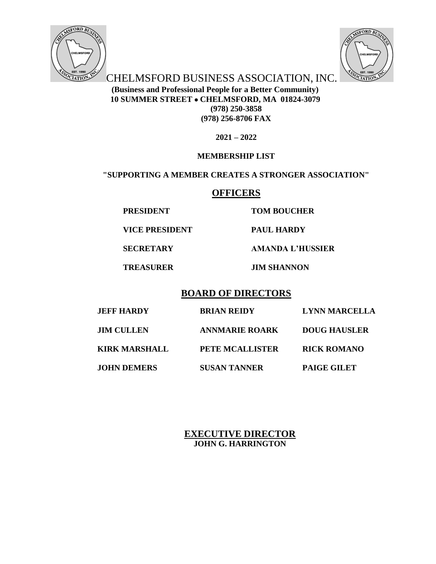



**CHELMSFORD BUSINESS ASSOCIATION, INC. (Business and Professional People for a Better Community) 10 SUMMER STREET CHELMSFORD, MA 01824-3079 (978) 250-3858 (978) 256-8706 FAX**

**2021 – 2022**

# **MEMBERSHIP LIST**

# **"SUPPORTING A MEMBER CREATES A STRONGER ASSOCIATION"**

# **OFFICERS**

**PRESIDENT TOM BOUCHER**

**VICE PRESIDENT PAUL HARDY**

**SECRETARY AMANDA L'HUSSIER**

**TREASURER JIM SHANNON**

# **BOARD OF DIRECTORS**

| <b>JEFF HARDY</b>    | <b>BRIAN REIDY</b>     | <b>LYNN MARCELLA</b> |
|----------------------|------------------------|----------------------|
| <b>JIM CULLEN</b>    | <b>ANNMARIE ROARK</b>  | <b>DOUG HAUSLER</b>  |
| <b>KIRK MARSHALL</b> | <b>PETE MCALLISTER</b> | <b>RICK ROMANO</b>   |
| <b>JOHN DEMERS</b>   | <b>SUSAN TANNER</b>    | <b>PAIGE GILET</b>   |

# **EXECUTIVE DIRECTOR JOHN G. HARRINGTON**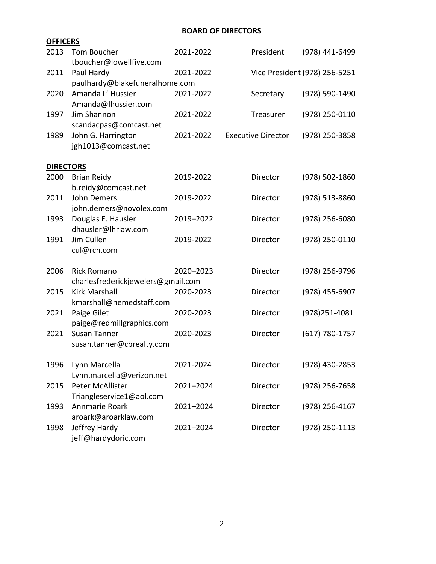## **BOARD OF DIRECTORS**

| <b>OFFICERS</b>  |                                        |           |                           |                               |
|------------------|----------------------------------------|-----------|---------------------------|-------------------------------|
| 2013             | Tom Boucher<br>tboucher@lowellfive.com | 2021-2022 | President                 | (978) 441-6499                |
| 2011             | Paul Hardy                             | 2021-2022 |                           | Vice President (978) 256-5251 |
|                  | paulhardy@blakefuneralhome.com         |           |                           |                               |
| 2020             | Amanda L' Hussier                      | 2021-2022 | Secretary                 | (978) 590-1490                |
|                  | Amanda@lhussier.com                    |           |                           |                               |
| 1997             | Jim Shannon                            | 2021-2022 | Treasurer                 | (978) 250-0110                |
|                  | scandacpas@comcast.net                 |           |                           |                               |
| 1989             | John G. Harrington                     | 2021-2022 | <b>Executive Director</b> | (978) 250-3858                |
|                  | jgh1013@comcast.net                    |           |                           |                               |
| <b>DIRECTORS</b> |                                        |           |                           |                               |
| 2000             | <b>Brian Reidy</b>                     | 2019-2022 | Director                  | $(978) 502 - 1860$            |
|                  | b.reidy@comcast.net                    |           |                           |                               |
| 2011             | John Demers                            | 2019-2022 | Director                  | (978) 513-8860                |
|                  | john.demers@novolex.com                |           |                           |                               |
| 1993             | Douglas E. Hausler                     | 2019-2022 | Director                  | $(978)$ 256-6080              |
|                  | dhausler@lhrlaw.com                    |           |                           |                               |
| 1991             | Jim Cullen                             | 2019-2022 | Director                  | (978) 250-0110                |
|                  | cul@rcn.com                            |           |                           |                               |
| 2006             | <b>Rick Romano</b>                     | 2020-2023 | Director                  | (978) 256-9796                |
|                  | charlesfrederickjewelers@gmail.com     |           |                           |                               |
| 2015             | <b>Kirk Marshall</b>                   | 2020-2023 | Director                  | (978) 455-6907                |
|                  | kmarshall@nemedstaff.com               |           |                           |                               |
| 2021             | Paige Gilet                            | 2020-2023 | Director                  | (978)251-4081                 |
|                  | paige@redmillgraphics.com              |           |                           |                               |
| 2021             | <b>Susan Tanner</b>                    | 2020-2023 | Director                  | (617) 780-1757                |
|                  | susan.tanner@cbrealty.com              |           |                           |                               |
| 1996             | Lynn Marcella                          | 2021-2024 | Director                  | (978) 430-2853                |
|                  | Lynn.marcella@verizon.net              |           |                           |                               |
| 2015             | Peter McAllister                       | 2021-2024 | Director                  | $(978)$ 256-7658              |
|                  | Triangleservice1@aol.com               |           |                           |                               |
| 1993             | Annmarie Roark                         | 2021-2024 | Director                  | $(978)$ 256-4167              |
|                  | aroark@aroarklaw.com                   |           |                           |                               |
| 1998             | Jeffrey Hardy                          | 2021-2024 | Director                  | (978) 250-1113                |
|                  | jeff@hardydoric.com                    |           |                           |                               |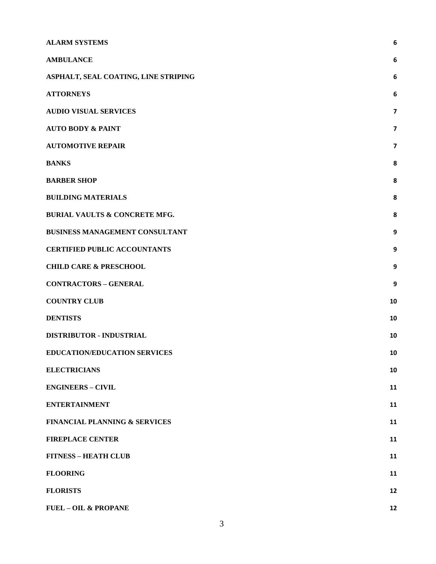| <b>ALARM SYSTEMS</b>                     | 6  |
|------------------------------------------|----|
| <b>AMBULANCE</b>                         | 6  |
| ASPHALT, SEAL COATING, LINE STRIPING     | 6  |
| <b>ATTORNEYS</b>                         | 6  |
| <b>AUDIO VISUAL SERVICES</b>             | 7  |
| <b>AUTO BODY &amp; PAINT</b>             | 7  |
| <b>AUTOMOTIVE REPAIR</b>                 | 7  |
| <b>BANKS</b>                             | 8  |
| <b>BARBER SHOP</b>                       | 8  |
| <b>BUILDING MATERIALS</b>                | 8  |
| <b>BURIAL VAULTS &amp; CONCRETE MFG.</b> | 8  |
| <b>BUSINESS MANAGEMENT CONSULTANT</b>    | 9  |
| <b>CERTIFIED PUBLIC ACCOUNTANTS</b>      | 9  |
| <b>CHILD CARE &amp; PRESCHOOL</b>        | 9  |
| <b>CONTRACTORS - GENERAL</b>             | 9  |
| <b>COUNTRY CLUB</b>                      | 10 |
| <b>DENTISTS</b>                          | 10 |
| DISTRIBUTOR - INDUSTRIAL                 | 10 |
| EDUCATION/EDUCATION SERVICES             | 10 |
| <b>ELECTRICIANS</b>                      | 10 |
| <b>ENGINEERS - CIVIL</b>                 | 11 |
| <b>ENTERTAINMENT</b>                     | 11 |
| <b>FINANCIAL PLANNING &amp; SERVICES</b> | 11 |
| <b>FIREPLACE CENTER</b>                  | 11 |
| <b>FITNESS - HEATH CLUB</b>              | 11 |
| <b>FLOORING</b>                          | 11 |
| <b>FLORISTS</b>                          | 12 |
| <b>FUEL - OIL &amp; PROPANE</b>          | 12 |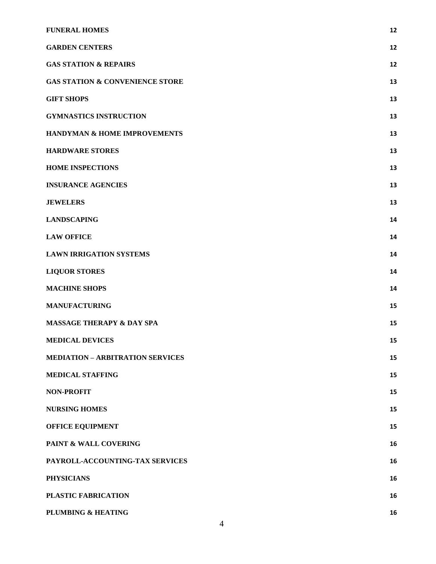| <b>FUNERAL HOMES</b>                       | 12 |
|--------------------------------------------|----|
| <b>GARDEN CENTERS</b>                      | 12 |
| <b>GAS STATION &amp; REPAIRS</b>           | 12 |
| <b>GAS STATION &amp; CONVENIENCE STORE</b> | 13 |
| <b>GIFT SHOPS</b>                          | 13 |
| <b>GYMNASTICS INSTRUCTION</b>              | 13 |
| HANDYMAN & HOME IMPROVEMENTS               | 13 |
| <b>HARDWARE STORES</b>                     | 13 |
| <b>HOME INSPECTIONS</b>                    | 13 |
| <b>INSURANCE AGENCIES</b>                  | 13 |
| <b>JEWELERS</b>                            | 13 |
| <b>LANDSCAPING</b>                         | 14 |
| <b>LAW OFFICE</b>                          | 14 |
| <b>LAWN IRRIGATION SYSTEMS</b>             | 14 |
| <b>LIQUOR STORES</b>                       | 14 |
| <b>MACHINE SHOPS</b>                       | 14 |
| <b>MANUFACTURING</b>                       | 15 |
| <b>MASSAGE THERAPY &amp; DAY SPA</b>       | 15 |
| <b>MEDICAL DEVICES</b>                     | 15 |
| <b>MEDIATION - ARBITRATION SERVICES</b>    | 15 |
| <b>MEDICAL STAFFING</b>                    | 15 |
| <b>NON-PROFIT</b>                          | 15 |
| <b>NURSING HOMES</b>                       | 15 |
| OFFICE EQUIPMENT                           | 15 |
| PAINT & WALL COVERING                      | 16 |
| PAYROLL-ACCOUNTING-TAX SERVICES            | 16 |
| <b>PHYSICIANS</b>                          | 16 |
| PLASTIC FABRICATION                        | 16 |
| PLUMBING & HEATING                         | 16 |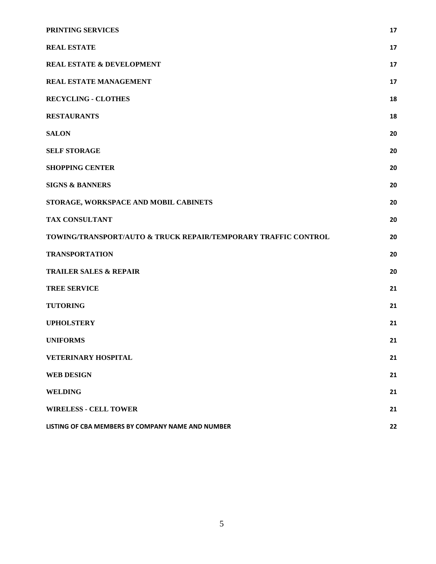| PRINTING SERVICES                                              | 17 |
|----------------------------------------------------------------|----|
| <b>REAL ESTATE</b>                                             | 17 |
| <b>REAL ESTATE &amp; DEVELOPMENT</b>                           | 17 |
| REAL ESTATE MANAGEMENT                                         | 17 |
| <b>RECYCLING - CLOTHES</b>                                     | 18 |
| <b>RESTAURANTS</b>                                             | 18 |
| <b>SALON</b>                                                   | 20 |
| <b>SELF STORAGE</b>                                            | 20 |
| <b>SHOPPING CENTER</b>                                         | 20 |
| <b>SIGNS &amp; BANNERS</b>                                     | 20 |
| STORAGE, WORKSPACE AND MOBIL CABINETS                          | 20 |
| <b>TAX CONSULTANT</b>                                          | 20 |
| TOWING/TRANSPORT/AUTO & TRUCK REPAIR/TEMPORARY TRAFFIC CONTROL | 20 |
| <b>TRANSPORTATION</b>                                          | 20 |
| <b>TRAILER SALES &amp; REPAIR</b>                              | 20 |
| <b>TREE SERVICE</b>                                            | 21 |
| <b>TUTORING</b>                                                | 21 |
| <b>UPHOLSTERY</b>                                              | 21 |
| <b>UNIFORMS</b>                                                | 21 |
| <b>VETERINARY HOSPITAL</b>                                     | 21 |
| <b>WEB DESIGN</b>                                              | 21 |
| <b>WELDING</b>                                                 | 21 |
| <b>WIRELESS - CELL TOWER</b>                                   | 21 |
| LISTING OF CBA MEMBERS BY COMPANY NAME AND NUMBER              | 22 |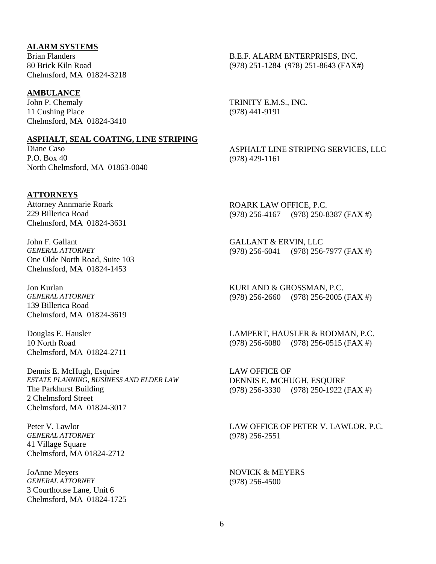### <span id="page-5-0"></span>**ALARM SYSTEMS**

Brian Flanders 80 Brick Kiln Road Chelmsford, MA 01824-3218

### <span id="page-5-1"></span>**AMBULANCE**

John P. Chemaly 11 Cushing Place Chelmsford, MA 01824-3410

#### <span id="page-5-2"></span>**ASPHALT, SEAL COATING, LINE STRIPING**

Diane Caso P.O. Box 40 North Chelmsford, MA 01863-0040

### <span id="page-5-3"></span>**ATTORNEYS**

Attorney Annmarie Roark 229 Billerica Road Chelmsford, MA 01824-3631

John F. Gallant *GENERAL ATTORNEY* One Olde North Road, Suite 103 Chelmsford, MA 01824-1453

Jon Kurlan *GENERAL ATTORNEY* 139 Billerica Road Chelmsford, MA 01824-3619

Douglas E. Hausler 10 North Road Chelmsford, MA 01824-2711

Dennis E. McHugh, Esquire *ESTATE PLANNING, BUSINESS AND ELDER LAW* The Parkhurst Building 2 Chelmsford Street Chelmsford, MA 01824-3017

Peter V. Lawlor *GENERAL ATTORNEY* 41 Village Square Chelmsford, MA 01824-2712

JoAnne Meyers *GENERAL ATTORNEY* 3 Courthouse Lane, Unit 6 Chelmsford, MA 01824-1725 B.E.F. ALARM ENTERPRISES, INC. (978) 251-1284 (978) 251-8643 (FAX#)

TRINITY E.M.S., INC. (978) 441-9191

ASPHALT LINE STRIPING SERVICES, LLC (978) 429-1161

ROARK LAW OFFICE, P.C. (978) 256-4167 (978) 250-8387 (FAX #)

GALLANT & ERVIN, LLC (978) 256-6041 (978) 256-7977 (FAX #)

KURLAND & GROSSMAN, P.C. (978) 256-2660 (978) 256-2005 (FAX #)

LAMPERT, HAUSLER & RODMAN, P.C. (978) 256-6080 (978) 256-0515 (FAX #)

LAW OFFICE OF DENNIS E. MCHUGH, ESQUIRE (978) 256-3330 (978) 250-1922 (FAX #)

LAW OFFICE OF PETER V. LAWLOR, P.C. (978) 256-2551

NOVICK & MEYERS (978) 256-4500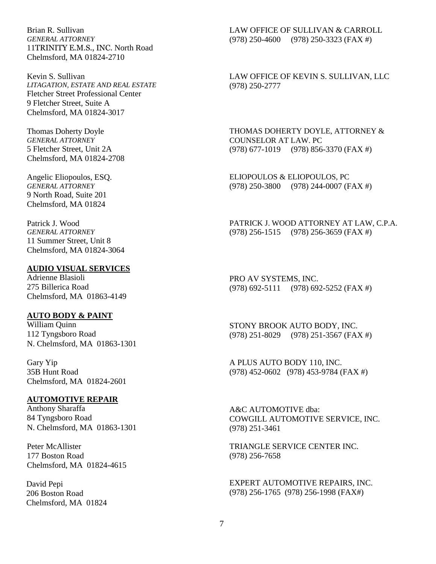Brian R. Sullivan *GENERAL ATTORNEY* 11TRINITY E.M.S., INC. North Road Chelmsford, MA 01824-2710

Kevin S. Sullivan *LITAGATION, ESTATE AND REAL ESTATE* Fletcher Street Professional Center 9 Fletcher Street, Suite A Chelmsford, MA 01824-3017

Thomas Doherty Doyle *GENERAL ATTORNEY* 5 Fletcher Street, Unit 2A Chelmsford, MA 01824-2708

Angelic Eliopoulos, ESQ. *GENERAL ATTORNEY* 9 North Road, Suite 201 Chelmsford, MA 01824

Patrick J. Wood *GENERAL ATTORNEY* 11 Summer Street, Unit 8 Chelmsford, MA 01824-3064

#### <span id="page-6-0"></span>**AUDIO VISUAL SERVICES**

Adrienne Blasioli 275 Billerica Road Chelmsford, MA 01863-4149

#### <span id="page-6-1"></span>**AUTO BODY & PAINT**

William Quinn 112 Tyngsboro Road N. Chelmsford, MA 01863-1301

Gary Yip 35B Hunt Road Chelmsford, MA 01824-2601

# <span id="page-6-2"></span>**AUTOMOTIVE REPAIR**

Anthony Sharaffa 84 Tyngsboro Road N. Chelmsford, MA 01863-1301

Peter McAllister 177 Boston Road Chelmsford, MA 01824-4615

David Pepi 206 Boston Road Chelmsford, MA 01824 LAW OFFICE OF SULLIVAN & CARROLL (978) 250-4600 (978) 250-3323 (FAX #)

LAW OFFICE OF KEVIN S. SULLIVAN, LLC (978) 250-2777

THOMAS DOHERTY DOYLE, ATTORNEY & COUNSELOR AT LAW. PC (978) 677-1019 (978) 856-3370 (FAX #)

ELIOPOULOS & ELIOPOULOS, PC (978) 250-3800 (978) 244-0007 (FAX #)

PATRICK J. WOOD ATTORNEY AT LAW, C.P.A. (978) 256-1515 (978) 256-3659 (FAX #)

PRO AV SYSTEMS, INC. (978) 692-5111 (978) 692-5252 (FAX #)

STONY BROOK AUTO BODY, INC. (978) 251-8029 (978) 251-3567 (FAX #)

A PLUS AUTO BODY 110, INC. (978) 452-0602 (978) 453-9784 (FAX #)

A&C AUTOMOTIVE dba: COWGILL AUTOMOTIVE SERVICE, INC. (978) 251-3461

TRIANGLE SERVICE CENTER INC. (978) 256-7658

EXPERT AUTOMOTIVE REPAIRS, INC. (978) 256-1765 (978) 256-1998 (FAX#)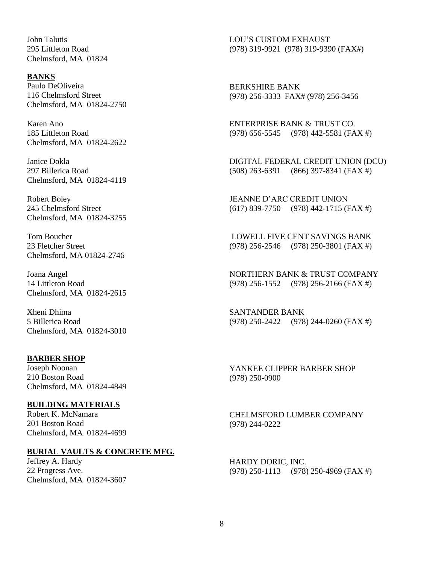John Talutis 295 Littleton Road Chelmsford, MA 01824

#### <span id="page-7-0"></span>**BANKS**

Paulo DeOliveira 116 Chelmsford Street Chelmsford, MA 01824-2750

Karen Ano 185 Littleton Road Chelmsford, MA 01824-2622

Janice Dokla 297 Billerica Road Chelmsford, MA 01824-4119

Robert Boley 245 Chelmsford Street Chelmsford, MA 01824-3255

Tom Boucher 23 Fletcher Street Chelmsford, MA 01824-2746

Joana Angel 14 Littleton Road Chelmsford, MA 01824-2615

Xheni Dhima 5 Billerica Road Chelmsford, MA 01824-3010

#### <span id="page-7-1"></span>**BARBER SHOP**

Joseph Noonan 210 Boston Road Chelmsford, MA 01824-4849

#### <span id="page-7-2"></span>**BUILDING MATERIALS**

Robert K. McNamara 201 Boston Road Chelmsford, MA 01824-4699

#### <span id="page-7-3"></span>**BURIAL VAULTS & CONCRETE MFG.**

Jeffrey A. Hardy 22 Progress Ave. Chelmsford, MA 01824-3607 LOU'S CUSTOM EXHAUST (978) 319-9921 (978) 319-9390 (FAX#)

BERKSHIRE BANK (978) 256-3333 FAX# (978) 256-3456

ENTERPRISE BANK & TRUST CO. (978) 656-5545 (978) 442-5581 (FAX #)

DIGITAL FEDERAL CREDIT UNION (DCU) (508) 263-6391 (866) 397-8341 (FAX #)

JEANNE D'ARC CREDIT UNION (617) 839-7750 (978) 442-1715 (FAX #)

LOWELL FIVE CENT SAVINGS BANK (978) 256-2546 (978) 250-3801 (FAX #)

NORTHERN BANK & TRUST COMPANY (978) 256-1552 (978) 256-2166 (FAX #)

SANTANDER BANK (978) 250-2422 (978) 244-0260 (FAX #)

YANKEE CLIPPER BARBER SHOP (978) 250-0900

CHELMSFORD LUMBER COMPANY (978) 244-0222

HARDY DORIC, INC. (978) 250-1113 (978) 250-4969 (FAX #)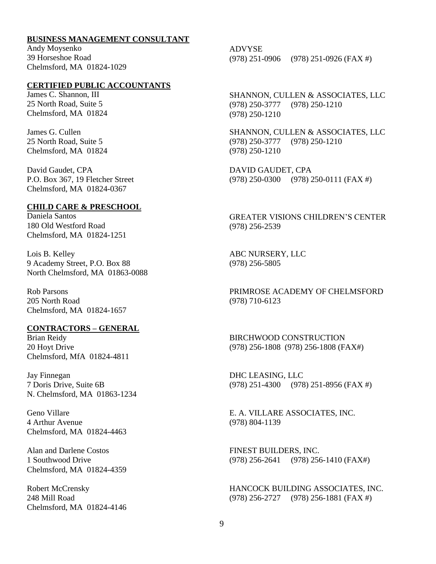### <span id="page-8-0"></span>**BUSINESS MANAGEMENT CONSULTANT**

Andy Moysenko 39 Horseshoe Road Chelmsford, MA 01824-1029

# <span id="page-8-1"></span>**CERTIFIED PUBLIC ACCOUNTANTS**

James C. Shannon, III 25 North Road, Suite 5 Chelmsford, MA 01824

James G. Cullen 25 North Road, Suite 5 Chelmsford, MA 01824

David Gaudet, CPA P.O. Box 367, 19 Fletcher Street Chelmsford, MA 01824-0367

#### <span id="page-8-2"></span>**CHILD CARE & PRESCHOOL**

Daniela Santos 180 Old Westford Road Chelmsford, MA 01824-1251

Lois B. Kelley 9 Academy Street, P.O. Box 88 North Chelmsford, MA 01863-0088

Rob Parsons 205 North Road Chelmsford, MA 01824-1657

### <span id="page-8-3"></span>**CONTRACTORS – GENERAL**

Brian Reidy 20 Hoyt Drive Chelmsford, MfA 01824-4811

Jay Finnegan 7 Doris Drive, Suite 6B N. Chelmsford, MA 01863-1234

Geno Villare 4 Arthur Avenue Chelmsford, MA 01824-4463

Alan and Darlene Costos 1 Southwood Drive Chelmsford, MA 01824-4359

Robert McCrensky 248 Mill Road Chelmsford, MA 01824-4146

ADVYSE (978) 251-0906 (978) 251-0926 (FAX #)

SHANNON, CULLEN & ASSOCIATES, LLC (978) 250-3777 (978) 250-1210 (978) 250-1210

SHANNON, CULLEN & ASSOCIATES, LLC (978) 250-3777 (978) 250-1210 (978) 250-1210

DAVID GAUDET, CPA (978) 250-0300 (978) 250-0111 (FAX #)

GREATER VISIONS CHILDREN'S CENTER (978) 256-2539

ABC NURSERY, LLC (978) 256-5805

PRIMROSE ACADEMY OF CHELMSFORD (978) 710-6123

BIRCHWOOD CONSTRUCTION (978) 256-1808 (978) 256-1808 (FAX#)

DHC LEASING, LLC (978) 251-4300 (978) 251-8956 (FAX #)

E. A. VILLARE ASSOCIATES, INC. (978) 804-1139

FINEST BUILDERS, INC. (978) 256-2641 (978) 256-1410 (FAX#)

HANCOCK BUILDING ASSOCIATES, INC. (978) 256-2727 (978) 256-1881 (FAX #)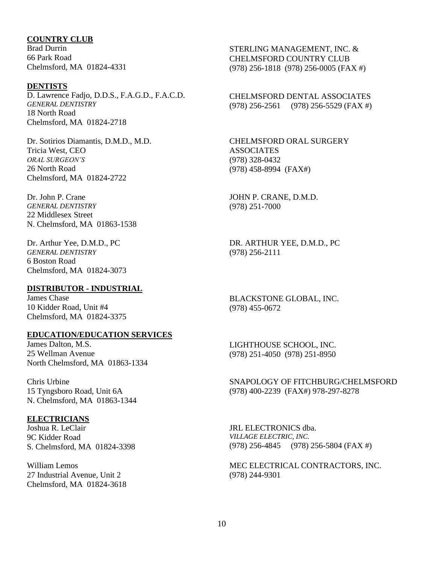### <span id="page-9-0"></span>**COUNTRY CLUB**

Brad Durrin 66 Park Road Chelmsford, MA 01824-4331

#### <span id="page-9-1"></span>**DENTISTS**

D. Lawrence Fadjo, D.D.S., F.A.G.D., F.A.C.D. *GENERAL DENTISTRY* 18 North Road Chelmsford, MA 01824-2718

Dr. Sotirios Diamantis, D.M.D., M.D. Tricia West, CEO *ORAL SURGEON'S* 26 North Road Chelmsford, MA 01824-2722

Dr. John P. Crane *GENERAL DENTISTRY* 22 Middlesex Street N. Chelmsford, MA 01863-1538

Dr. Arthur Yee, D.M.D., PC *GENERAL DENTISTRY* 6 Boston Road Chelmsford, MA 01824-3073

#### <span id="page-9-2"></span>**DISTRIBUTOR - INDUSTRIAL**

James Chase 10 Kidder Road, Unit #4 Chelmsford, MA 01824-3375

#### <span id="page-9-3"></span>**EDUCATION/EDUCATION SERVICES**

James Dalton, M.S. 25 Wellman Avenue North Chelmsford, MA 01863-1334

Chris Urbine 15 Tyngsboro Road, Unit 6A N. Chelmsford, MA 01863-1344

### <span id="page-9-4"></span>**ELECTRICIANS**

Joshua R. LeClair 9C Kidder Road S. Chelmsford, MA 01824-3398

William Lemos 27 Industrial Avenue, Unit 2 Chelmsford, MA 01824-3618

STERLING MANAGEMENT, INC. & CHELMSFORD COUNTRY CLUB (978) 256-1818 (978) 256-0005 (FAX #)

CHELMSFORD DENTAL ASSOCIATES (978) 256-2561 (978) 256-5529 (FAX #)

CHELMSFORD ORAL SURGERY ASSOCIATES (978) 328-0432 (978) 458-8994 (FAX#)

JOHN P. CRANE, D.M.D. (978) 251-7000

DR. ARTHUR YEE, D.M.D., PC (978) 256-2111

BLACKSTONE GLOBAL, INC. (978) 455-0672

LIGHTHOUSE SCHOOL, INC. (978) 251-4050 (978) 251-8950

SNAPOLOGY OF FITCHBURG/CHELMSFORD (978) 400-2239 (FAX#) 978-297-8278

JRL ELECTRONICS dba. *VILLAGE ELECTRIC, INC.* (978) 256-4845 (978) 256-5804 (FAX #)

MEC ELECTRICAL CONTRACTORS, INC. (978) 244-9301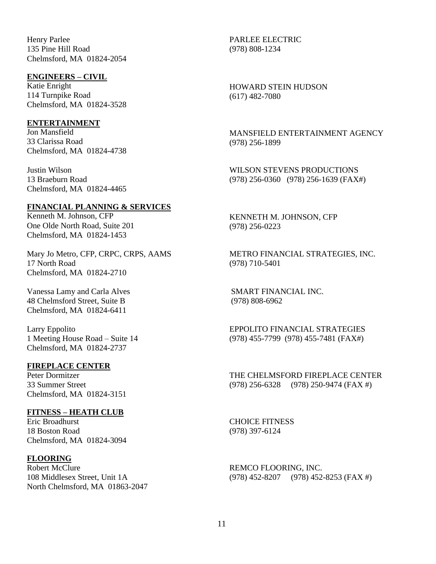Henry Parlee 135 Pine Hill Road Chelmsford, MA 01824-2054

#### <span id="page-10-0"></span>**ENGINEERS – CIVIL**

Katie Enright 114 Turnpike Road Chelmsford, MA 01824-3528

### <span id="page-10-1"></span>**ENTERTAINMENT**

Jon Mansfield 33 Clarissa Road Chelmsford, MA 01824-4738

Justin Wilson 13 Braeburn Road Chelmsford, MA 01824-4465

#### <span id="page-10-2"></span>**FINANCIAL PLANNING & SERVICES**

Kenneth M. Johnson, CFP One Olde North Road, Suite 201 Chelmsford, MA 01824-1453

Mary Jo Metro, CFP, CRPC, CRPS, AAMS 17 North Road Chelmsford, MA 01824-2710

Vanessa Lamy and Carla Alves 48 Chelmsford Street, Suite B Chelmsford, MA 01824-6411

Larry Eppolito 1 Meeting House Road – Suite 14 Chelmsford, MA 01824-2737

### <span id="page-10-3"></span>**FIREPLACE CENTER**

Peter Dormitzer 33 Summer Street Chelmsford, MA 01824-3151

### <span id="page-10-4"></span>**FITNESS – HEATH CLUB**

Eric Broadhurst 18 Boston Road Chelmsford, MA 01824-3094

### <span id="page-10-5"></span>**FLOORING**

Robert McClure 108 Middlesex Street, Unit 1A North Chelmsford, MA 01863-2047 PARLEE ELECTRIC (978) 808-1234

HOWARD STEIN HUDSON (617) 482-7080

MANSFIELD ENTERTAINMENT AGENCY (978) 256-1899

WILSON STEVENS PRODUCTIONS (978) 256-0360 (978) 256-1639 (FAX#)

KENNETH M. JOHNSON, CFP (978) 256-0223

METRO FINANCIAL STRATEGIES, INC. (978) 710-5401

SMART FINANCIAL INC. (978) 808-6962

EPPOLITO FINANCIAL STRATEGIES (978) 455-7799 (978) 455-7481 (FAX#)

THE CHELMSFORD FIREPLACE CENTER (978) 256-6328 (978) 250-9474 (FAX #)

CHOICE FITNESS (978) 397-6124

REMCO FLOORING, INC. (978) 452-8207 (978) 452-8253 (FAX #)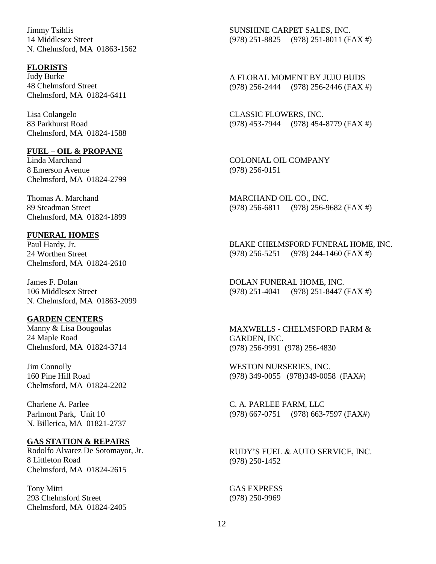Jimmy Tsihlis 14 Middlesex Street N. Chelmsford, MA 01863-1562

#### <span id="page-11-0"></span>**FLORISTS**

Judy Burke 48 Chelmsford Street Chelmsford, MA 01824-6411

Lisa Colangelo 83 Parkhurst Road Chelmsford, MA 01824-1588

#### <span id="page-11-1"></span>**FUEL – OIL & PROPANE**

Linda Marchand 8 Emerson Avenue Chelmsford, MA 01824-2799

Thomas A. Marchand 89 Steadman Street Chelmsford, MA 01824-1899

#### <span id="page-11-2"></span>**FUNERAL HOMES**

Paul Hardy, Jr. 24 Worthen Street Chelmsford, MA 01824-2610

James F. Dolan 106 Middlesex Street N. Chelmsford, MA 01863-2099

### <span id="page-11-3"></span>**GARDEN CENTERS**

Manny & Lisa Bougoulas 24 Maple Road Chelmsford, MA 01824-3714

Jim Connolly 160 Pine Hill Road Chelmsford, MA 01824-2202

Charlene A. Parlee Parlmont Park, Unit 10 N. Billerica, MA 01821-2737

#### <span id="page-11-4"></span>**GAS STATION & REPAIRS**

Rodolfo Alvarez De Sotomayor, Jr. 8 Littleton Road Chelmsford, MA 01824-2615

Tony Mitri 293 Chelmsford Street Chelmsford, MA 01824-2405

SUNSHINE CARPET SALES, INC. (978) 251-8825 (978) 251-8011 (FAX #)

A FLORAL MOMENT BY JUJU BUDS (978) 256-2444 (978) 256-2446 (FAX #)

CLASSIC FLOWERS, INC. (978) 453-7944 (978) 454-8779 (FAX #)

COLONIAL OIL COMPANY (978) 256-0151

MARCHAND OIL CO., INC. (978) 256-6811 (978) 256-9682 (FAX #)

BLAKE CHELMSFORD FUNERAL HOME, INC. (978) 256-5251 (978) 244-1460 (FAX #)

DOLAN FUNERAL HOME, INC. (978) 251-4041 (978) 251-8447 (FAX #)

MAXWELLS - CHELMSFORD FARM & GARDEN, INC. (978) 256-9991 (978) 256-4830

WESTON NURSERIES, INC. (978) 349-0055 (978)349-0058 (FAX#)

C. A. PARLEE FARM, LLC (978) 667-0751 (978) 663-7597 (FAX#)

RUDY'S FUEL & AUTO SERVICE, INC. (978) 250-1452

GAS EXPRESS (978) 250-9969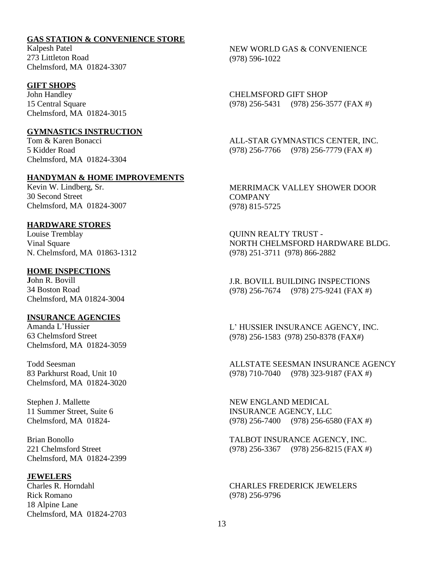# <span id="page-12-0"></span>**GAS STATION & CONVENIENCE STORE**

Kalpesh Patel 273 Littleton Road Chelmsford, MA 01824-3307

### <span id="page-12-1"></span>**GIFT SHOPS**

John Handley 15 Central Square Chelmsford, MA 01824-3015

#### <span id="page-12-2"></span>**GYMNASTICS INSTRUCTION**

Tom & Karen Bonacci 5 Kidder Road Chelmsford, MA 01824-3304

### <span id="page-12-3"></span>**HANDYMAN & HOME IMPROVEMENTS**

Kevin W. Lindberg, Sr. 30 Second Street Chelmsford, MA 01824-3007

### <span id="page-12-4"></span>**HARDWARE STORES**

Louise Tremblay Vinal Square N. Chelmsford, MA 01863-1312

### <span id="page-12-5"></span>**HOME INSPECTIONS**

**J**ohn R. Bovill 34 Boston Road Chelmsford, MA 01824-3004

### <span id="page-12-6"></span>**INSURANCE AGENCIES**

Amanda L'Hussier 63 Chelmsford Street Chelmsford, MA 01824-3059

Todd Seesman 83 Parkhurst Road, Unit 10 Chelmsford, MA 01824-3020

Stephen J. Mallette 11 Summer Street, Suite 6 Chelmsford, MA 01824-

Brian Bonollo 221 Chelmsford Street Chelmsford, MA 01824-2399

#### <span id="page-12-7"></span>**JEWELERS**

Charles R. Horndahl Rick Romano 18 Alpine Lane Chelmsford, MA 01824-2703 NEW WORLD GAS & CONVENIENCE (978) 596-1022

CHELMSFORD GIFT SHOP (978) 256-5431 (978) 256-3577 (FAX #)

ALL-STAR GYMNASTICS CENTER, INC. (978) 256-7766 (978) 256-7779 (FAX #)

MERRIMACK VALLEY SHOWER DOOR **COMPANY** (978) 815-5725

QUINN REALTY TRUST - NORTH CHELMSFORD HARDWARE BLDG. (978) 251-3711 (978) 866-2882

J.R. BOVILL BUILDING INSPECTIONS (978) 256-7674 (978) 275-9241 (FAX #)

L' HUSSIER INSURANCE AGENCY, INC. (978) 256-1583 (978) 250-8378 (FAX#)

ALLSTATE SEESMAN INSURANCE AGENCY (978) 710-7040 (978) 323-9187 (FAX #)

NEW ENGLAND MEDICAL INSURANCE AGENCY, LLC (978) 256-7400 (978) 256-6580 (FAX #)

TALBOT INSURANCE AGENCY, INC. (978) 256-3367 (978) 256-8215 (FAX #)

CHARLES FREDERICK JEWELERS (978) 256-9796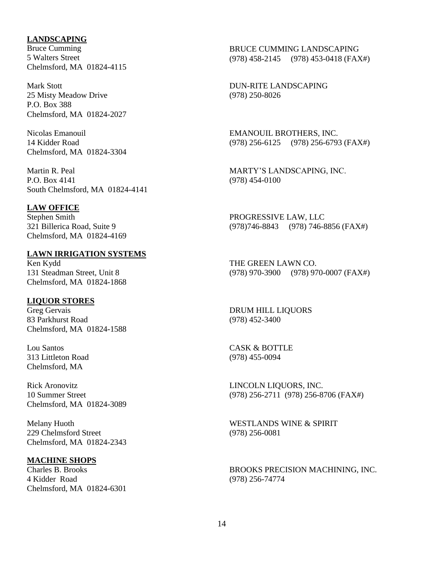## <span id="page-13-0"></span>**LANDSCAPING**

Bruce Cumming 5 Walters Street Chelmsford, MA 01824-4115

Mark Stott 25 Misty Meadow Drive P.O. Box 388 Chelmsford, MA 01824-2027

Nicolas Emanouil 14 Kidder Road Chelmsford, MA 01824-3304

Martin R. Peal P.O. Box 4141 South Chelmsford, MA 01824-4141

### <span id="page-13-1"></span>**LAW OFFICE**

Stephen Smith 321 Billerica Road, Suite 9 Chelmsford, MA 01824-4169

### <span id="page-13-2"></span>**LAWN IRRIGATION SYSTEMS**

Ken Kydd 131 Steadman Street, Unit 8 Chelmsford, MA 01824-1868

### <span id="page-13-3"></span>**LIQUOR STORES**

Greg Gervais 83 Parkhurst Road Chelmsford, MA 01824-1588

Lou Santos 313 Littleton Road Chelmsford, MA

Rick Aronovitz 10 Summer Street Chelmsford, MA 01824-3089

Melany Huoth 229 Chelmsford Street Chelmsford, MA 01824-2343

### <span id="page-13-4"></span>**MACHINE SHOPS**

Charles B. Brooks 4 Kidder Road Chelmsford, MA 01824-6301

BRUCE CUMMING LANDSCAPING (978) 458-2145 (978) 453-0418 (FAX#)

DUN-RITE LANDSCAPING (978) 250-8026

EMANOUIL BROTHERS, INC. (978) 256-6125 (978) 256-6793 (FAX#)

MARTY'S LANDSCAPING, INC. (978) 454-0100

PROGRESSIVE LAW, LLC (978)746-8843 (978) 746-8856 (FAX#)

THE GREEN LAWN CO. (978) 970-3900 (978) 970-0007 (FAX#)

DRUM HILL LIQUORS (978) 452-3400

CASK & BOTTLE (978) 455-0094

LINCOLN LIQUORS, INC. (978) 256-2711 (978) 256-8706 (FAX#)

WESTLANDS WINE & SPIRIT (978) 256-0081

BROOKS PRECISION MACHINING, INC. (978) 256-74774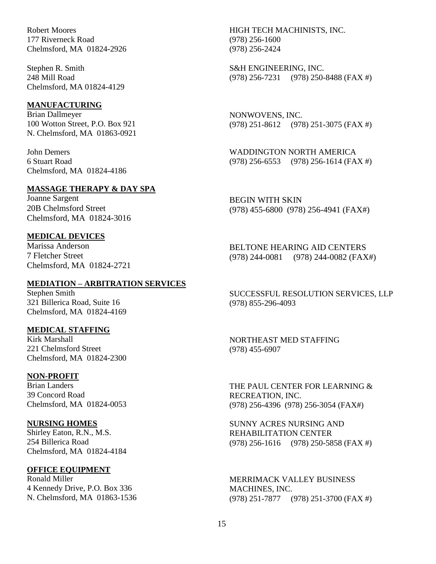Robert Moores 177 Riverneck Road Chelmsford, MA 01824-2926

Stephen R. Smith 248 Mill Road Chelmsford, MA 01824-4129

#### <span id="page-14-0"></span>**MANUFACTURING**

Brian Dallmeyer 100 Wotton Street, P.O. Box 921 N. Chelmsford, MA 01863-0921

John Demers 6 Stuart Road Chelmsford, MA 01824-4186

# <span id="page-14-1"></span>**MASSAGE THERAPY & DAY SPA**

Joanne Sargent 20B Chelmsford Street Chelmsford, MA 01824-3016

# <span id="page-14-2"></span>**MEDICAL DEVICES**

Marissa Anderson 7 Fletcher Street Chelmsford, MA 01824-2721

# <span id="page-14-3"></span>**MEDIATION – ARBITRATION SERVICES**

Stephen Smith 321 Billerica Road, Suite 16 Chelmsford, MA 01824-4169

### <span id="page-14-4"></span>**MEDICAL STAFFING**

Kirk Marshall 221 Chelmsford Street Chelmsford, MA 01824-2300

#### <span id="page-14-5"></span>**NON-PROFIT**

Brian Landers 39 Concord Road Chelmsford, MA 01824-0053

#### <span id="page-14-6"></span>**NURSING HOMES**

Shirley Eaton, R.N., M.S. 254 Billerica Road Chelmsford, MA 01824-4184

#### <span id="page-14-7"></span>**OFFICE EQUIPMENT**

Ronald Miller 4 Kennedy Drive, P.O. Box 336 N. Chelmsford, MA 01863-1536 HIGH TECH MACHINISTS, INC. (978) 256-1600 (978) 256-2424

S&H ENGINEERING, INC. (978) 256-7231 (978) 250-8488 (FAX #)

NONWOVENS, INC. (978) 251-8612 (978) 251-3075 (FAX #)

WADDINGTON NORTH AMERICA (978) 256-6553 (978) 256-1614 (FAX #)

BEGIN WITH SKIN (978) 455-6800 (978) 256-4941 (FAX#)

BELTONE HEARING AID CENTERS (978) 244-0081 (978) 244-0082 (FAX#)

SUCCESSFUL RESOLUTION SERVICES, LLP (978) 855-296-4093

NORTHEAST MED STAFFING (978) 455-6907

THE PAUL CENTER FOR LEARNING & RECREATION, INC. (978) 256-4396 (978) 256-3054 (FAX#)

SUNNY ACRES NURSING AND REHABILITATION CENTER (978) 256-1616 (978) 250-5858 (FAX #)

MERRIMACK VALLEY BUSINESS MACHINES, INC. (978) 251-7877 (978) 251-3700 (FAX #)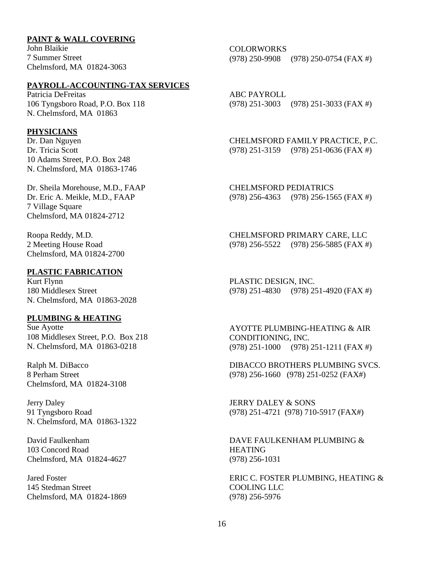### <span id="page-15-0"></span>**PAINT & WALL COVERING**

John Blaikie 7 Summer Street Chelmsford, MA 01824-3063

### <span id="page-15-1"></span>**PAYROLL-ACCOUNTING-TAX SERVICES**

Patricia DeFreitas 106 Tyngsboro Road, P.O. Box 118 N. Chelmsford, MA 01863

#### <span id="page-15-2"></span>**PHYSICIANS**

Dr. Dan Nguyen Dr. Tricia Scott 10 Adams Street, P.O. Box 248 N. Chelmsford, MA 01863-1746

Dr. Sheila Morehouse, M.D., FAAP Dr. Eric A. Meikle, M.D., FAAP 7 Village Square Chelmsford, MA 01824-2712

Roopa Reddy, M.D. 2 Meeting House Road Chelmsford, MA 01824-2700

# <span id="page-15-3"></span>**PLASTIC FABRICATION**

Kurt Flynn 180 Middlesex Street N. Chelmsford, MA 01863-2028

### <span id="page-15-4"></span>**PLUMBING & HEATING**

Sue Ayotte 108 Middlesex Street, P.O. Box 218 N. Chelmsford, MA 01863-0218

Ralph M. DiBacco 8 Perham Street Chelmsford, MA 01824-3108

Jerry Daley 91 Tyngsboro Road N. Chelmsford, MA 01863-1322

David Faulkenham 103 Concord Road Chelmsford, MA 01824-4627

Jared Foster 145 Stedman Street Chelmsford, MA 01824-1869 COLORWORKS (978) 250-9908 (978) 250-0754 (FAX #)

ABC PAYROLL (978) 251-3003 (978) 251-3033 (FAX #)

CHELMSFORD FAMILY PRACTICE, P.C. (978) 251-3159 (978) 251-0636 (FAX #)

CHELMSFORD PEDIATRICS (978) 256-4363 (978) 256-1565 (FAX #)

CHELMSFORD PRIMARY CARE, LLC (978) 256-5522 (978) 256-5885 (FAX #)

PLASTIC DESIGN, INC. (978) 251-4830 (978) 251-4920 (FAX #)

AYOTTE PLUMBING-HEATING & AIR CONDITIONING, INC. (978) 251-1000 (978) 251-1211 (FAX #)

DIBACCO BROTHERS PLUMBING SVCS. (978) 256-1660 (978) 251-0252 (FAX#)

JERRY DALEY & SONS (978) 251-4721 (978) 710-5917 (FAX#)

DAVE FAULKENHAM PLUMBING & **HEATING** (978) 256-1031

ERIC C. FOSTER PLUMBING, HEATING & COOLING LLC (978) 256-5976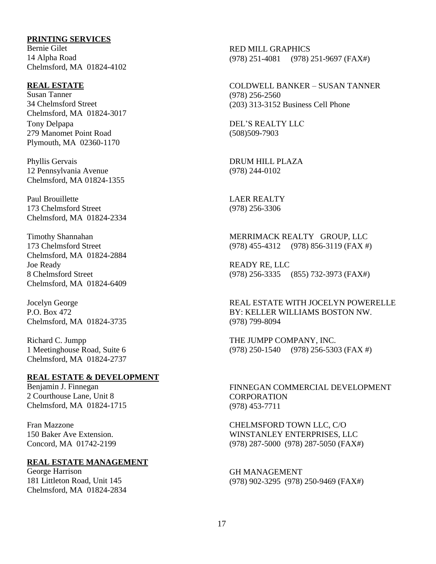### <span id="page-16-0"></span>**PRINTING SERVICES**

Bernie Gilet 14 Alpha Road Chelmsford, MA 01824-4102

#### <span id="page-16-1"></span>**REAL ESTATE**

Susan Tanner 34 Chelmsford Street Chelmsford, MA 01824-3017 Tony Delpapa 279 Manomet Point Road Plymouth, MA 02360-1170

Phyllis Gervais 12 Pennsylvania Avenue Chelmsford, MA 01824-1355

Paul Brouillette 173 Chelmsford Street Chelmsford, MA 01824-2334

Timothy Shannahan 173 Chelmsford Street Chelmsford, MA 01824-2884 Joe Ready 8 Chelmsford Street Chelmsford, MA 01824-6409

Jocelyn George P.O. Box 472 Chelmsford, MA 01824-3735

Richard C. Jumpp 1 Meetinghouse Road, Suite 6 Chelmsford, MA 01824-2737

#### <span id="page-16-2"></span>**REAL ESTATE & DEVELOPMENT**

Benjamin J. Finnegan 2 Courthouse Lane, Unit 8 Chelmsford, MA 01824-1715

Fran Mazzone 150 Baker Ave Extension. Concord, MA 01742-2199

#### <span id="page-16-3"></span>**REAL ESTATE MANAGEMENT**

George Harrison 181 Littleton Road, Unit 145 Chelmsford, MA 01824-2834

RED MILL GRAPHICS (978) 251-4081 (978) 251-9697 (FAX#)

COLDWELL BANKER – SUSAN TANNER (978) 256-2560 (203) 313-3152 Business Cell Phone

DEL'S REALTY LLC (508)509-7903

DRUM HILL PLAZA (978) 244-0102

LAER REALTY (978) 256-3306

MERRIMACK REALTY GROUP, LLC (978) 455-4312 (978) 856-3119 (FAX #)

READY RE, LLC (978) 256-3335 (855) 732-3973 (FAX#)

REAL ESTATE WITH JOCELYN POWERELLE BY: KELLER WILLIAMS BOSTON NW. (978) 799-8094

THE JUMPP COMPANY, INC. (978) 250-1540 (978) 256-5303 (FAX #)

FINNEGAN COMMERCIAL DEVELOPMENT CORPORATION (978) 453-7711

CHELMSFORD TOWN LLC, C/O WINSTANLEY ENTERPRISES, LLC (978) 287-5000 (978) 287-5050 (FAX#)

GH MANAGEMENT (978) 902-3295 (978) 250-9469 (FAX#)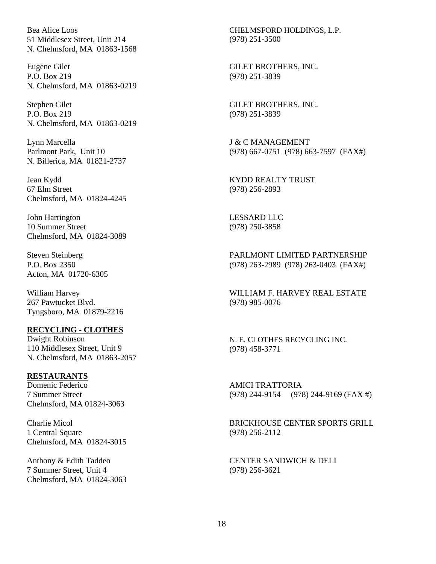Bea Alice Loos 51 Middlesex Street, Unit 214 N. Chelmsford, MA 01863-1568

Eugene Gilet P.O. Box 219 N. Chelmsford, MA 01863-0219

Stephen Gilet P.O. Box 219 N. Chelmsford, MA 01863-0219

Lynn Marcella Parlmont Park, Unit 10 N. Billerica, MA 01821-2737

Jean Kydd 67 Elm Street Chelmsford, MA 01824-4245

John Harrington 10 Summer Street Chelmsford, MA 01824-3089

Steven Steinberg P.O. Box 2350 Acton, MA 01720-6305

William Harvey 267 Pawtucket Blvd. Tyngsboro, MA 01879-2216

### <span id="page-17-0"></span>**RECYCLING - CLOTHES**

Dwight Robinson 110 Middlesex Street, Unit 9 N. Chelmsford, MA 01863-2057

#### <span id="page-17-1"></span>**RESTAURANTS**

Domenic Federico 7 Summer Street Chelmsford, MA 01824-3063

Charlie Micol 1 Central Square Chelmsford, MA 01824-3015

Anthony & Edith Taddeo 7 Summer Street, Unit 4 Chelmsford, MA 01824-3063

CHELMSFORD HOLDINGS, L.P. (978) 251-3500

GILET BROTHERS, INC. (978) 251-3839

GILET BROTHERS, INC. (978) 251-3839

J & C MANAGEMENT (978) 667-0751 (978) 663-7597 (FAX#)

KYDD REALTY TRUST (978) 256-2893

LESSARD LLC (978) 250-3858

PARLMONT LIMITED PARTNERSHIP (978) 263-2989 (978) 263-0403 (FAX#)

WILLIAM F. HARVEY REAL ESTATE (978) 985-0076

N. E. CLOTHES RECYCLING INC. (978) 458-3771

AMICI TRATTORIA (978) 244-9154 (978) 244-9169 (FAX #)

BRICKHOUSE CENTER SPORTS GRILL (978) 256-2112

CENTER SANDWICH & DELI (978) 256-3621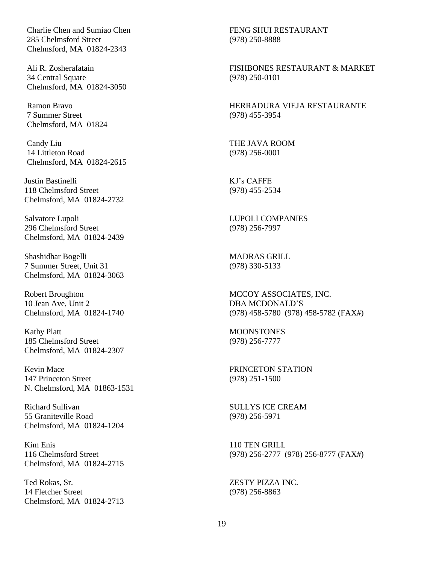Charlie Chen and Sumiao Chen 285 Chelmsford Street Chelmsford, MA 01824-2343

Ali R. Zosherafatain 34 Central Square Chelmsford, MA 01824-3050

Ramon Bravo 7 Summer Street Chelmsford, MA 01824

Candy Liu 14 Littleton Road Chelmsford, MA 01824-2615

Justin Bastinelli 118 Chelmsford Street Chelmsford, MA 01824-2732

Salvatore Lupoli 296 Chelmsford Street Chelmsford, MA 01824-2439

Shashidhar Bogelli 7 Summer Street, Unit 31 Chelmsford, MA 01824-3063

Robert Broughton 10 Jean Ave, Unit 2 Chelmsford, MA 01824-1740

Kathy Platt 185 Chelmsford Street Chelmsford, MA 01824-2307

Kevin Mace 147 Princeton Street N. Chelmsford, MA 01863-1531

Richard Sullivan 55 Graniteville Road Chelmsford, MA 01824-1204

Kim Enis 116 Chelmsford Street Chelmsford, MA 01824-2715

Ted Rokas, Sr. 14 Fletcher Street Chelmsford, MA 01824-2713

FENG SHUI RESTAURANT (978) 250-8888

FISHBONES RESTAURANT & MARKET (978) 250-0101

HERRADURA VIEJA RESTAURANTE (978) 455-3954

THE JAVA ROOM (978) 256-0001

KJ's CAFFE (978) 455-2534

LUPOLI COMPANIES (978) 256-7997

MADRAS GRILL (978) 330-5133

MCCOY ASSOCIATES, INC. DBA MCDONALD'S (978) 458-5780 (978) 458-5782 (FAX#)

**MOONSTONES** (978) 256-7777

PRINCETON STATION (978) 251-1500

SULLYS ICE CREAM (978) 256-5971

110 TEN GRILL (978) 256-2777 (978) 256-8777 (FAX#)

ZESTY PIZZA INC. (978) 256-8863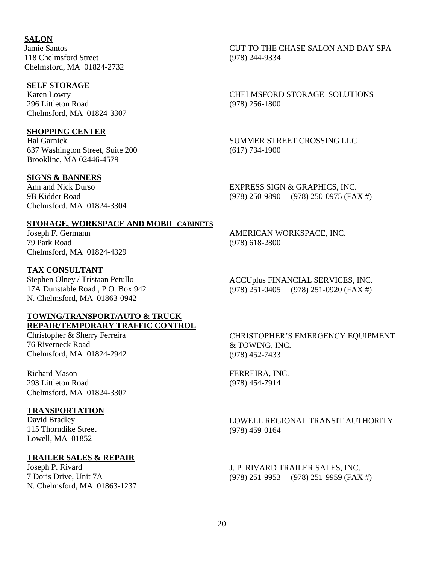<span id="page-19-0"></span>**SALON** Jamie Santos 118 Chelmsford Street Chelmsford, MA 01824-2732

# <span id="page-19-1"></span>**SELF STORAGE**

Karen Lowry 296 Littleton Road Chelmsford, MA 01824-3307

### <span id="page-19-2"></span>**SHOPPING CENTER**

Hal Garnick 637 Washington Street, Suite 200 Brookline, MA 02446-4579

# <span id="page-19-3"></span>**SIGNS & BANNERS**

Ann and Nick Durso 9B Kidder Road Chelmsford, MA 01824-3304

## CUT TO THE CHASE SALON AND DAY SPA (978) 244-9334

CHELMSFORD STORAGE SOLUTIONS (978) 256-1800

SUMMER STREET CROSSING LLC (617) 734-1900

EXPRESS SIGN & GRAPHICS, INC. (978) 250-9890 (978) 250-0975 (FAX #)

#### <span id="page-19-4"></span>**STORAGE, WORKSPACE AND MOBIL CABINETS**

Joseph F. Germann 79 Park Road Chelmsford, MA 01824-4329

#### <span id="page-19-5"></span>**TAX CONSULTANT**

Stephen Olney / Tristaan Petullo 17A Dunstable Road , P.O. Box 942 N. Chelmsford, MA 01863-0942

#### <span id="page-19-6"></span>**TOWING/TRANSPORT/AUTO & TRUCK REPAIR/TEMPORARY TRAFFIC CONTROL**

Christopher & Sherry Ferreira 76 Riverneck Road Chelmsford, MA 01824-2942

Richard Mason 293 Littleton Road Chelmsford, MA 01824-3307

#### <span id="page-19-7"></span>**TRANSPORTATION**

David Bradley 115 Thorndike Street Lowell, MA 01852

## <span id="page-19-8"></span>**TRAILER SALES & REPAIR**

Joseph P. Rivard 7 Doris Drive, Unit 7A N. Chelmsford, MA 01863-1237

AMERICAN WORKSPACE, INC. (978) 618-2800

ACCUplus FINANCIAL SERVICES, INC. (978) 251-0405 (978) 251-0920 (FAX #)

CHRISTOPHER'S EMERGENCY EQUIPMENT & TOWING, INC. (978) 452-7433

FERREIRA, INC. (978) 454-7914

LOWELL REGIONAL TRANSIT AUTHORITY (978) 459-0164

J. P. RIVARD TRAILER SALES, INC. (978) 251-9953 (978) 251-9959 (FAX #)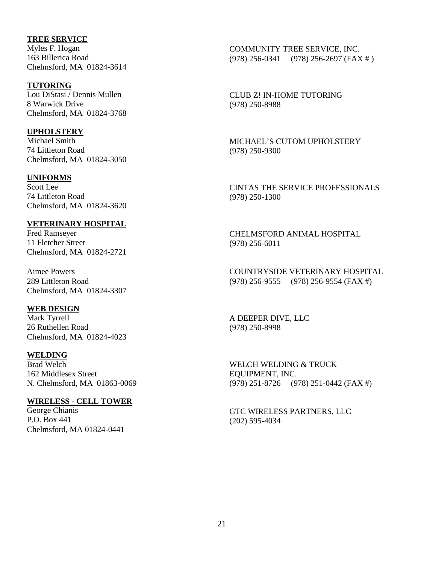# <span id="page-20-0"></span>**TREE SERVICE**

Myles F. Hogan 163 Billerica Road Chelmsford, MA 01824-3614

### <span id="page-20-1"></span>**TUTORING**

Lou DiStasi / Dennis Mullen 8 Warwick Drive Chelmsford, MA 01824-3768

# <span id="page-20-2"></span>**UPHOLSTERY**

Michael Smith 74 Littleton Road Chelmsford, MA 01824-3050

# <span id="page-20-3"></span>**UNIFORMS**

Scott Lee 74 Littleton Road Chelmsford, MA 01824-3620

# <span id="page-20-4"></span>**VETERINARY HOSPITAL**

Fred Ramseyer 11 Fletcher Street Chelmsford, MA 01824-2721

Aimee Powers 289 Littleton Road Chelmsford, MA 01824-3307

# <span id="page-20-5"></span>**WEB DESIGN**

Mark Tyrrell 26 Ruthellen Road Chelmsford, MA 01824-4023

### <span id="page-20-6"></span>**WELDING**

Brad Welch 162 Middlesex Street N. Chelmsford, MA 01863-0069

# <span id="page-20-7"></span>**WIRELESS - CELL TOWER**

George Chianis P.O. Box 441 Chelmsford, MA 01824-0441 COMMUNITY TREE SERVICE, INC. (978) 256-0341 (978) 256-2697 (FAX # )

CLUB Z! IN-HOME TUTORING (978) 250-8988

MICHAEL'S CUTOM UPHOLSTERY (978) 250-9300

CINTAS THE SERVICE PROFESSIONALS (978) 250-1300

CHELMSFORD ANIMAL HOSPITAL (978) 256-6011

COUNTRYSIDE VETERINARY HOSPITAL (978) 256-9555 (978) 256-9554 (FAX #)

A DEEPER DIVE, LLC (978) 250-8998

WELCH WELDING & TRUCK EQUIPMENT, INC. (978) 251-8726 (978) 251-0442 (FAX #)

GTC WIRELESS PARTNERS, LLC (202) 595-4034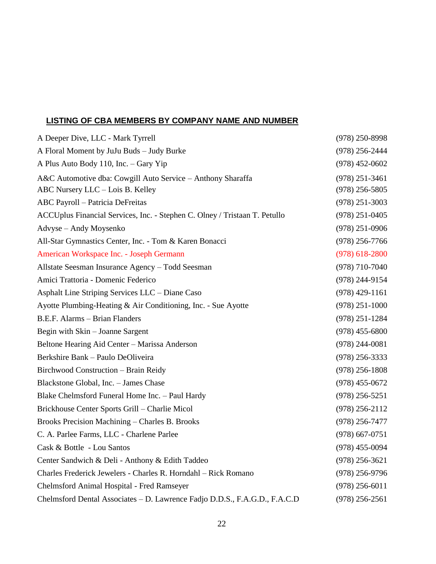# <span id="page-21-0"></span>**LISTING OF CBA MEMBERS BY COMPANY NAME AND NUMBER**

| A Deeper Dive, LLC - Mark Tyrrell                                          | $(978)$ 250-8998 |
|----------------------------------------------------------------------------|------------------|
| A Floral Moment by JuJu Buds - Judy Burke                                  | $(978)$ 256-2444 |
| A Plus Auto Body 110, Inc. - Gary Yip                                      | $(978)$ 452-0602 |
| A&C Automotive dba: Cowgill Auto Service - Anthony Sharaffa                | $(978)$ 251-3461 |
| ABC Nursery LLC - Lois B. Kelley                                           | $(978)$ 256-5805 |
| ABC Payroll - Patricia DeFreitas                                           | $(978)$ 251-3003 |
| ACCUplus Financial Services, Inc. - Stephen C. Olney / Tristaan T. Petullo | $(978)$ 251-0405 |
| Advyse - Andy Moysenko                                                     | $(978)$ 251-0906 |
| All-Star Gymnastics Center, Inc. - Tom & Karen Bonacci                     | $(978)$ 256-7766 |
| American Workspace Inc. - Joseph Germann                                   | $(978)$ 618-2800 |
| Allstate Seesman Insurance Agency - Todd Seesman                           | $(978)$ 710-7040 |
| Amici Trattoria - Domenic Federico                                         | $(978)$ 244-9154 |
| Asphalt Line Striping Services LLC - Diane Caso                            | $(978)$ 429-1161 |
| Ayotte Plumbing-Heating & Air Conditioning, Inc. - Sue Ayotte              | $(978)$ 251-1000 |
| B.E.F. Alarms - Brian Flanders                                             | $(978)$ 251-1284 |
| Begin with Skin - Joanne Sargent                                           | $(978)$ 455-6800 |
| Beltone Hearing Aid Center - Marissa Anderson                              | $(978)$ 244-0081 |
| Berkshire Bank - Paulo DeOliveira                                          | $(978)$ 256-3333 |
| Birchwood Construction - Brain Reidy                                       | $(978)$ 256-1808 |
| Blackstone Global, Inc. - James Chase                                      | $(978)$ 455-0672 |
| Blake Chelmsford Funeral Home Inc. - Paul Hardy                            | $(978)$ 256-5251 |
| Brickhouse Center Sports Grill - Charlie Micol                             | $(978)$ 256-2112 |
| Brooks Precision Machining - Charles B. Brooks                             | $(978)$ 256-7477 |
| C. A. Parlee Farms, LLC - Charlene Parlee                                  | $(978)$ 667-0751 |
| Cask & Bottle - Lou Santos                                                 | $(978)$ 455-0094 |
| Center Sandwich & Deli - Anthony & Edith Taddeo                            | $(978)$ 256-3621 |
| Charles Frederick Jewelers - Charles R. Horndahl - Rick Romano             | $(978)$ 256-9796 |
| Chelmsford Animal Hospital - Fred Ramseyer                                 | $(978)$ 256-6011 |
| Chelmsford Dental Associates - D. Lawrence Fadjo D.D.S., F.A.G.D., F.A.C.D | $(978)$ 256-2561 |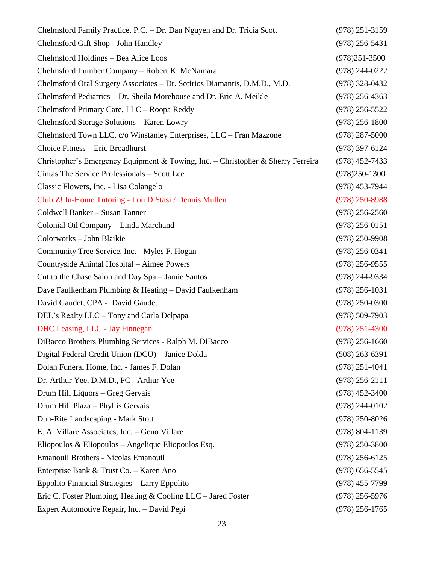| Chelmsford Family Practice, P.C. - Dr. Dan Nguyen and Dr. Tricia Scott           | $(978)$ 251-3159   |
|----------------------------------------------------------------------------------|--------------------|
| Chelmsford Gift Shop - John Handley                                              | $(978)$ 256-5431   |
| Chelmsford Holdings - Bea Alice Loos                                             | $(978)251 - 3500$  |
| Chelmsford Lumber Company - Robert K. McNamara                                   | $(978)$ 244-0222   |
| Chelmsford Oral Surgery Associates - Dr. Sotirios Diamantis, D.M.D., M.D.        | $(978)$ 328-0432   |
| Chelmsford Pediatrics - Dr. Sheila Morehouse and Dr. Eric A. Meikle              | $(978)$ 256-4363   |
| Chelmsford Primary Care, LLC - Roopa Reddy                                       | $(978)$ 256-5522   |
| Chelmsford Storage Solutions - Karen Lowry                                       | $(978)$ 256-1800   |
| Chelmsford Town LLC, c/o Winstanley Enterprises, LLC – Fran Mazzone              | $(978)$ 287-5000   |
| Choice Fitness - Eric Broadhurst                                                 | $(978)$ 397-6124   |
| Christopher's Emergency Equipment & Towing, Inc. – Christopher & Sherry Ferreira | $(978)$ 452-7433   |
| Cintas The Service Professionals - Scott Lee                                     | $(978)250-1300$    |
| Classic Flowers, Inc. - Lisa Colangelo                                           | (978) 453-7944     |
| Club Z! In-Home Tutoring - Lou DiStasi / Dennis Mullen                           | $(978)$ 250-8988   |
| Coldwell Banker - Susan Tanner                                                   | $(978)$ 256-2560   |
| Colonial Oil Company - Linda Marchand                                            | $(978)$ 256-0151   |
| Colorworks - John Blaikie                                                        | $(978)$ 250-9908   |
| Community Tree Service, Inc. - Myles F. Hogan                                    | $(978)$ 256-0341   |
| Countryside Animal Hospital - Aimee Powers                                       | $(978)$ 256-9555   |
| Cut to the Chase Salon and Day Spa - Jamie Santos                                | $(978)$ 244-9334   |
| Dave Faulkenham Plumbing & Heating - David Faulkenham                            | $(978)$ 256-1031   |
| David Gaudet, CPA - David Gaudet                                                 | $(978)$ 250-0300   |
| DEL's Realty LLC – Tony and Carla Delpapa                                        | $(978) 509 - 7903$ |
| <b>DHC</b> Leasing, LLC - Jay Finnegan                                           | $(978)$ 251-4300   |
| DiBacco Brothers Plumbing Services - Ralph M. DiBacco                            | $(978)$ 256-1660   |
| Digital Federal Credit Union (DCU) - Janice Dokla                                | $(508)$ 263-6391   |
| Dolan Funeral Home, Inc. - James F. Dolan                                        | $(978)$ 251-4041   |
| Dr. Arthur Yee, D.M.D., PC - Arthur Yee                                          | $(978)$ 256-2111   |
| Drum Hill Liquors - Greg Gervais                                                 | $(978)$ 452-3400   |
| Drum Hill Plaza - Phyllis Gervais                                                | $(978)$ 244-0102   |
| Dun-Rite Landscaping - Mark Stott                                                | $(978)$ 250-8026   |
| E. A. Villare Associates, Inc. - Geno Villare                                    | $(978) 804 - 1139$ |
| Eliopoulos & Eliopoulos – Angelique Eliopoulos Esq.                              | $(978)$ 250-3800   |
| Emanouil Brothers - Nicolas Emanouil                                             | $(978)$ 256-6125   |
| Enterprise Bank & Trust Co. - Karen Ano                                          | $(978) 656 - 5545$ |
| Eppolito Financial Strategies - Larry Eppolito                                   | $(978)$ 455-7799   |
| Eric C. Foster Plumbing, Heating & Cooling LLC – Jared Foster                    | $(978)$ 256-5976   |
| Expert Automotive Repair, Inc. - David Pepi                                      | $(978)$ 256-1765   |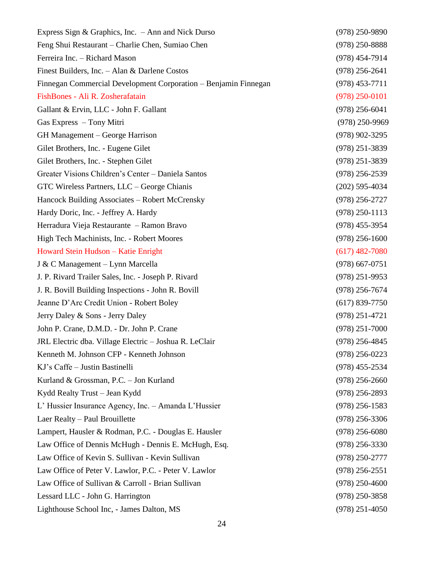| Express Sign & Graphics, Inc. $-$ Ann and Nick Durso            | $(978)$ 250-9890 |
|-----------------------------------------------------------------|------------------|
| Feng Shui Restaurant – Charlie Chen, Sumiao Chen                | $(978)$ 250-8888 |
| Ferreira Inc. - Richard Mason                                   | $(978)$ 454-7914 |
| Finest Builders, Inc. - Alan & Darlene Costos                   | $(978)$ 256-2641 |
| Finnegan Commercial Development Corporation - Benjamin Finnegan | $(978)$ 453-7711 |
| FishBones - Ali R. Zosherafatain                                | $(978)$ 250-0101 |
| Gallant & Ervin, LLC - John F. Gallant                          | $(978)$ 256-6041 |
| Gas Express - Tony Mitri                                        | $(978)$ 250-9969 |
| GH Management – George Harrison                                 | $(978)$ 902-3295 |
| Gilet Brothers, Inc. - Eugene Gilet                             | $(978)$ 251-3839 |
| Gilet Brothers, Inc. - Stephen Gilet                            | $(978)$ 251-3839 |
| Greater Visions Children's Center - Daniela Santos              | $(978)$ 256-2539 |
| GTC Wireless Partners, LLC - George Chianis                     | $(202)$ 595-4034 |
| Hancock Building Associates – Robert McCrensky                  | $(978)$ 256-2727 |
| Hardy Doric, Inc. - Jeffrey A. Hardy                            | $(978)$ 250-1113 |
| Herradura Vieja Restaurante - Ramon Bravo                       | $(978)$ 455-3954 |
| High Tech Machinists, Inc. - Robert Moores                      | $(978)$ 256-1600 |
| Howard Stein Hudson - Katie Enright                             | $(617)$ 482-7080 |
| J & C Management – Lynn Marcella                                | $(978)$ 667-0751 |
| J. P. Rivard Trailer Sales, Inc. - Joseph P. Rivard             | $(978)$ 251-9953 |
| J. R. Bovill Building Inspections - John R. Bovill              | $(978)$ 256-7674 |
| Jeanne D'Arc Credit Union - Robert Boley                        | $(617)$ 839-7750 |
| Jerry Daley & Sons - Jerry Daley                                | $(978)$ 251-4721 |
| John P. Crane, D.M.D. - Dr. John P. Crane                       | $(978)$ 251-7000 |
| JRL Electric dba. Village Electric - Joshua R. LeClair          | $(978)$ 256-4845 |
| Kenneth M. Johnson CFP - Kenneth Johnson                        | $(978)$ 256-0223 |
| KJ's Caffe - Justin Bastinelli                                  | $(978)$ 455-2534 |
| Kurland & Grossman, P.C. - Jon Kurland                          | $(978)$ 256-2660 |
| Kydd Realty Trust - Jean Kydd                                   | $(978)$ 256-2893 |
| L' Hussier Insurance Agency, Inc. – Amanda L'Hussier            | $(978)$ 256-1583 |
| Laer Realty - Paul Brouillette                                  | $(978)$ 256-3306 |
| Lampert, Hausler & Rodman, P.C. - Douglas E. Hausler            | $(978)$ 256-6080 |
| Law Office of Dennis McHugh - Dennis E. McHugh, Esq.            | $(978)$ 256-3330 |
| Law Office of Kevin S. Sullivan - Kevin Sullivan                | $(978)$ 250-2777 |
| Law Office of Peter V. Lawlor, P.C. - Peter V. Lawlor           | $(978)$ 256-2551 |
| Law Office of Sullivan & Carroll - Brian Sullivan               | $(978)$ 250-4600 |
| Lessard LLC - John G. Harrington                                | $(978)$ 250-3858 |
| Lighthouse School Inc, - James Dalton, MS                       | $(978)$ 251-4050 |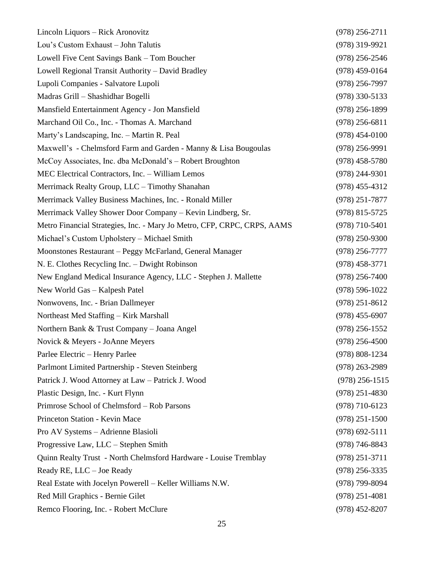| Lincoln Liquors - Rick Aronovitz                                        | $(978)$ 256-2711   |
|-------------------------------------------------------------------------|--------------------|
| Lou's Custom Exhaust - John Talutis                                     | $(978)$ 319-9921   |
| Lowell Five Cent Savings Bank - Tom Boucher                             | $(978)$ 256-2546   |
| Lowell Regional Transit Authority - David Bradley                       | $(978)$ 459-0164   |
| Lupoli Companies - Salvatore Lupoli                                     | $(978)$ 256-7997   |
| Madras Grill - Shashidhar Bogelli                                       | $(978)$ 330-5133   |
| Mansfield Entertainment Agency - Jon Mansfield                          | $(978)$ 256-1899   |
| Marchand Oil Co., Inc. - Thomas A. Marchand                             | $(978)$ 256-6811   |
| Marty's Landscaping, Inc. - Martin R. Peal                              | $(978)$ 454-0100   |
| Maxwell's - Chelmsford Farm and Garden - Manny & Lisa Bougoulas         | $(978)$ 256-9991   |
| McCoy Associates, Inc. dba McDonald's - Robert Broughton                | $(978)$ 458-5780   |
| MEC Electrical Contractors, Inc. - William Lemos                        | $(978)$ 244-9301   |
| Merrimack Realty Group, LLC - Timothy Shanahan                          | $(978)$ 455-4312   |
| Merrimack Valley Business Machines, Inc. - Ronald Miller                | $(978)$ 251-7877   |
| Merrimack Valley Shower Door Company - Kevin Lindberg, Sr.              | $(978)$ 815-5725   |
| Metro Financial Strategies, Inc. - Mary Jo Metro, CFP, CRPC, CRPS, AAMS | $(978)$ 710-5401   |
| Michael's Custom Upholstery – Michael Smith                             | $(978)$ 250-9300   |
| Moonstones Restaurant - Peggy McFarland, General Manager                | (978) 256-7777     |
| N. E. Clothes Recycling Inc. – Dwight Robinson                          | $(978)$ 458-3771   |
| New England Medical Insurance Agency, LLC - Stephen J. Mallette         | $(978)$ 256-7400   |
| New World Gas - Kalpesh Patel                                           | $(978) 596 - 1022$ |
| Nonwovens, Inc. - Brian Dallmeyer                                       | $(978)$ 251-8612   |
| Northeast Med Staffing - Kirk Marshall                                  | $(978)$ 455-6907   |
| Northern Bank & Trust Company - Joana Angel                             | $(978)$ 256-1552   |
| Novick & Meyers - JoAnne Meyers                                         | $(978)$ 256-4500   |
| Parlee Electric - Henry Parlee                                          | $(978) 808 - 1234$ |
| Parlmont Limited Partnership - Steven Steinberg                         | $(978)$ 263-2989   |
| Patrick J. Wood Attorney at Law - Patrick J. Wood                       | $(978)$ 256-1515   |
| Plastic Design, Inc. - Kurt Flynn                                       | $(978)$ 251-4830   |
| Primrose School of Chelmsford - Rob Parsons                             | $(978)$ 710-6123   |
| Princeton Station - Kevin Mace                                          | $(978)$ 251-1500   |
| Pro AV Systems - Adrienne Blasioli                                      | $(978)$ 692-5111   |
| Progressive Law, LLC - Stephen Smith                                    | $(978) 746 - 8843$ |
| Quinn Realty Trust - North Chelmsford Hardware - Louise Tremblay        | $(978)$ 251-3711   |
| Ready RE, LLC - Joe Ready                                               | $(978)$ 256-3335   |
| Real Estate with Jocelyn Powerell - Keller Williams N.W.                | $(978)$ 799-8094   |
| Red Mill Graphics - Bernie Gilet                                        | $(978)$ 251-4081   |
| Remco Flooring, Inc. - Robert McClure                                   | $(978)$ 452-8207   |